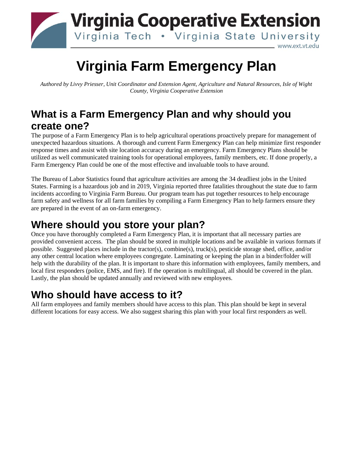

# **Virginia Farm Emergency Plan**

*Authored by Livvy Priesser, Unit Coordinator and Extension Agent, Agriculture and Natural Resources, Isle of Wight County, Virginia Cooperative Extension*

# **What is a Farm Emergency Plan and why should you create one?**

The purpose of a Farm Emergency Plan is to help agricultural operations proactively prepare for management of unexpected hazardous situations. A thorough and current Farm Emergency Plan can help minimize first responder response times and assist with site location accuracy during an emergency. Farm Emergency Plans should be utilized as well communicated training tools for operational employees, family members, etc. If done properly, a Farm Emergency Plan could be one of the most effective and invaluable tools to have around.

The Bureau of Labor Statistics found that agriculture activities are among the 34 deadliest jobs in the United States. Farming is a hazardous job and in 2019, Virginia reported three fatalities throughout the state due to farm incidents according to Virginia Farm Bureau. Our program team has put together resources to help encourage farm safety and wellness for all farm families by compiling a Farm Emergency Plan to help farmers ensure they are prepared in the event of an on-farm emergency.

# **Where should you store your plan?**

Once you have thoroughly completed a Farm Emergency Plan, it is important that all necessary parties are provided convenient access. The plan should be stored in multiple locations and be available in various formats if possible. Suggested places include in the tractor(s), combine(s), truck(s), pesticide storage shed, office, and/or any other central location where employees congregate. Laminating or keeping the plan in a binder/folder will help with the durability of the plan. It is important to share this information with employees, family members, and local first responders (police, EMS, and fire). If the operation is multilingual, all should be covered in the plan. Lastly, the plan should be updated annually and reviewed with new employees.

# **Who should have access to it?**

All farm employees and family members should have access to this plan. This plan should be kept in several different locations for easy access. We also suggest sharing this plan with your local first responders as well.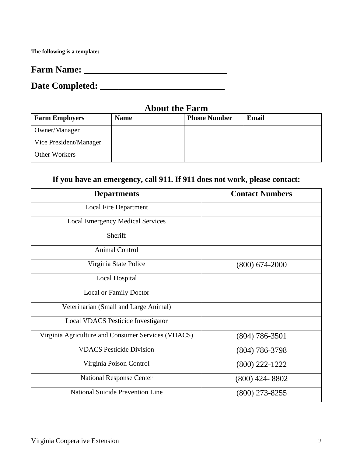**The following is a template:** 

| <b>Farm Name:</b> |
|-------------------|
|                   |
|                   |

**Date Completed: \_\_\_\_\_\_\_\_\_\_\_\_\_\_\_\_\_\_\_\_\_\_\_\_\_\_\_**

### **About the Farm**

| <b>Farm Employers</b>  | <b>Name</b> | <b>Phone Number</b> | Email |
|------------------------|-------------|---------------------|-------|
| Owner/Manager          |             |                     |       |
| Vice President/Manager |             |                     |       |
| Other Workers          |             |                     |       |

## **If you have an emergency, call 911. If 911 does not work, please contact:**

| <b>Departments</b>                                 | <b>Contact Numbers</b> |
|----------------------------------------------------|------------------------|
| <b>Local Fire Department</b>                       |                        |
| <b>Local Emergency Medical Services</b>            |                        |
| Sheriff                                            |                        |
| <b>Animal Control</b>                              |                        |
| Virginia State Police                              | $(800)$ 674-2000       |
| Local Hospital                                     |                        |
| <b>Local or Family Doctor</b>                      |                        |
| Veterinarian (Small and Large Animal)              |                        |
| <b>Local VDACS Pesticide Investigator</b>          |                        |
| Virginia Agriculture and Consumer Services (VDACS) | $(804)$ 786-3501       |
| <b>VDACS Pesticide Division</b>                    | $(804) 786 - 3798$     |
| Virginia Poison Control                            | $(800)$ 222-1222       |
| <b>National Response Center</b>                    | $(800)$ 424-8802       |
| National Suicide Prevention Line                   | $(800)$ 273-8255       |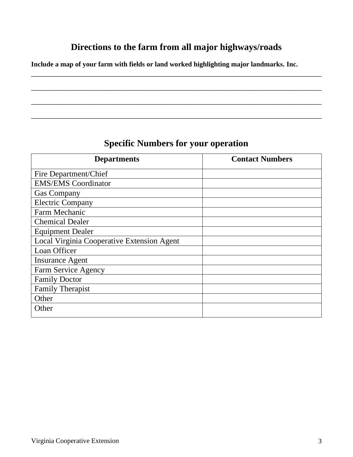### **Directions to the farm from all major highways/roads**

\_\_\_\_\_\_\_\_\_\_\_\_\_\_\_\_\_\_\_\_\_\_\_\_\_\_\_\_\_\_\_\_\_\_\_\_\_\_\_\_\_\_\_\_\_\_\_\_\_\_\_\_\_\_\_\_\_\_\_\_\_\_\_\_\_\_\_\_\_\_\_\_

\_\_\_\_\_\_\_\_\_\_\_\_\_\_\_\_\_\_\_\_\_\_\_\_\_\_\_\_\_\_\_\_\_\_\_\_\_\_\_\_\_\_\_\_\_\_\_\_\_\_\_\_\_\_\_\_\_\_\_\_\_\_\_\_\_\_\_\_\_\_\_\_

\_\_\_\_\_\_\_\_\_\_\_\_\_\_\_\_\_\_\_\_\_\_\_\_\_\_\_\_\_\_\_\_\_\_\_\_\_\_\_\_\_\_\_\_\_\_\_\_\_\_\_\_\_\_\_\_\_\_\_\_\_\_\_\_\_\_\_\_\_\_\_\_

\_\_\_\_\_\_\_\_\_\_\_\_\_\_\_\_\_\_\_\_\_\_\_\_\_\_\_\_\_\_\_\_\_\_\_\_\_\_\_\_\_\_\_\_\_\_\_\_\_\_\_\_\_\_\_\_\_\_\_\_\_\_\_\_\_\_\_\_\_\_\_\_

**Include a map of your farm with fields or land worked highlighting major landmarks. Inc.** 

### **Specific Numbers for your operation**

| <b>Departments</b>                         | <b>Contact Numbers</b> |
|--------------------------------------------|------------------------|
| Fire Department/Chief                      |                        |
| <b>EMS/EMS</b> Coordinator                 |                        |
| <b>Gas Company</b>                         |                        |
| <b>Electric Company</b>                    |                        |
| Farm Mechanic                              |                        |
| <b>Chemical Dealer</b>                     |                        |
| <b>Equipment Dealer</b>                    |                        |
| Local Virginia Cooperative Extension Agent |                        |
| Loan Officer                               |                        |
| <b>Insurance Agent</b>                     |                        |
| Farm Service Agency                        |                        |
| <b>Family Doctor</b>                       |                        |
| <b>Family Therapist</b>                    |                        |
| Other                                      |                        |
| Other                                      |                        |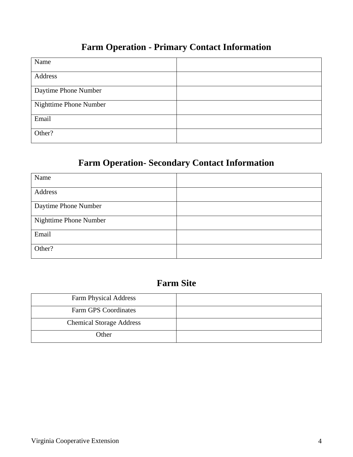## **Farm Operation - Primary Contact Information**

| Name                   |  |
|------------------------|--|
| Address                |  |
| Daytime Phone Number   |  |
| Nighttime Phone Number |  |
| Email                  |  |
| Other?                 |  |

# **Farm Operation- Secondary Contact Information**

| Name                   |  |
|------------------------|--|
| Address                |  |
| Daytime Phone Number   |  |
| Nighttime Phone Number |  |
| Email                  |  |
| Other?                 |  |

### **Farm Site**

| <b>Farm Physical Address</b>    |  |
|---------------------------------|--|
| Farm GPS Coordinates            |  |
| <b>Chemical Storage Address</b> |  |
| Other                           |  |